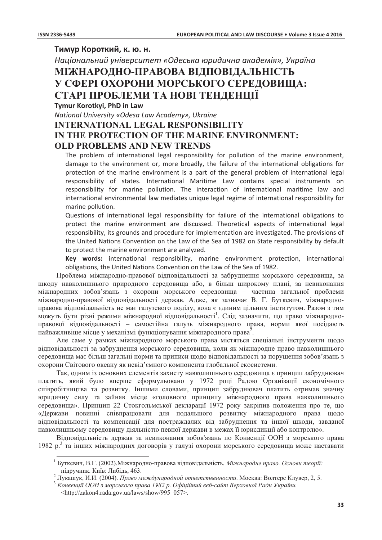## Тимур Короткий, к. ю. н.

Національний університет «Одеська юридична академія», Україна

## МІЖНАРОДНО-ПРАВОВА ВІДПОВІДАЛЬНІСТЬ У СФЕРІ ОХОРОНИ МОРСЬКОГО СЕРЕДОВИЩА: СТАРІ ПРОБЛЕМИ ТА НОВІ ТЕНЛЕНШЇ

Tymur Korotkyi, PhD in Law

National University «Odesa Law Academy», Ukraine

## **INTERNATIONAL LEGAL RESPONSIBILITY** IN THE PROTECTION OF THE MARINE ENVIRONMENT: **OLD PROBLEMS AND NEW TRENDS**

The problem of international legal responsibility for pollution of the marine environment. damage to the environment or, more broadly, the failure of the international obligations for protection of the marine environment is a part of the general problem of international legal responsibility of states. International Maritime Law contains special instruments on responsibility for marine pollution. The interaction of international maritime law and international environmental law mediates unique legal regime of international responsibility for marine pollution.

Questions of international legal responsibility for failure of the international obligations to protect the marine environment are discussed. Theoretical aspects of international legal responsibility, its grounds and procedure for implementation are investigated. The provisions of the United Nations Convention on the Law of the Sea of 1982 on State responsibility by default to protect the marine environment are analyzed.

Key words: international responsibility, marine environment protection, international obligations, the United Nations Convention on the Law of the Sea of 1982.

Проблема міжнародно-правової відповідальності за забруднення морського середовища, за шкоду навколишнього природного середовища або, в більш широкому плані, за невиконання міжнародних зобов'язань з охорони морського середовища - частина загальної проблеми міжнародно-правової відповідальності держав. Адже, як зазначає В. Г. Буткевич, міжнародноправова відповідальність не має галузевого поділу, вона є єдиним цільним інститутом. Разом з тим можуть бути різні режими міжнародної відповідальності<sup>1</sup>. Слід зазначити, що право міжнародноправової відповідальності - самостійна галузь міжнародного права, норми якої посідають найважливіше місце у механізмі функціонування міжнародного права<sup>2</sup>.

Але саме у рамках міжнародного морського права містяться спеціальні інструменти щодо відповідальності за забруднення морського середовища, коли як міжнародне право навколишнього середовища має більш загальні норми та приписи щодо відповідальності за порушення зобов'язань з охорони Світового океану як невіл'ємного компонента глобальної екосистеми.

Так, одним із основних елементів захисту навколишнього середовища є принцип забруднювач платить, який було вперше сформульовано у 1972 році Радою Організації економічного співробітництва та розвитку. Іншими словами, принцип забруднювач платить отримав значну юридичну силу та зайняв місце «головного принципу міжнародного права навколишнього середовища». Принцип 22 Стокгольмської декларації 1972 року закріпив положення про те, що «Держави повинні співпрацювати для подальшого розвитку міжнародного права щодо відповідальності та компенсації для постраждалих від забруднення та іншої шкоди, завданої навколишньому середовищу діяльністю певної держави в межах її юрисдикції або контролю».

Відповідальність держав за невиконання зобов'язань по Конвенції ООН з морського права 1982 р.<sup>3</sup> та інших міжнародних договорів у галузі охорони морського середовища може наставати

<sup>3</sup> Конвенції ООН з морського права 1982 р. Офіційний веб-сайт Верховної Ради України. <http://zakon4.rada.gov.ua/laws/show/995 057>.

<sup>&</sup>lt;sup>1</sup> Буткевич, В.Г. (2002). Міжнародно-правова відповідальність. Міжнародне право. Основи теорії: підручник. Київ: Либідь, 463.

<sup>&</sup>lt;sup>2</sup> Лукашук, И.И. (2004). Право международной ответственности. Москва: Волтерс Клувер, 2, 5.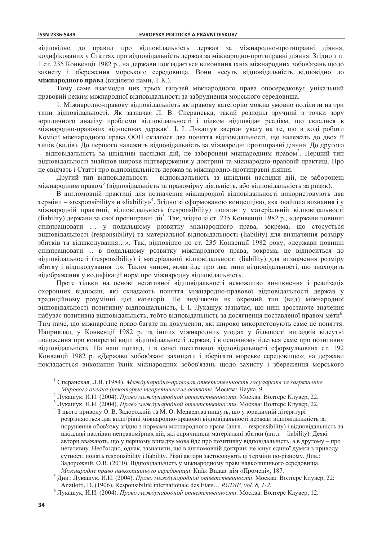відповідно до правил про відповідальність держав за міжнародно-протиправні діяння, кодифікованих у Статтях про відповідальність держав за міжнародно-протиправні діяння. Згідно з п. 1 ст. 235 Конвенції 1982 р., на держави покладається виконання їхніх міжнародних зобов'язань шодо захисту і збереження морського середовища. Вони несуть відповідальність відповідно до міжнародного права (виділено нами, Т.К.).

Тому саме взаємодія цих трьох галузей міжнародного права опосередковує унікальний правовий режим міжнародної відповідальності за забруднення морського середовища.

1. Міжнародно-правову відповідальність як правову категорію можна умовно поділити на три типи відповідальності. Як зазначає Л. В. Сперанська, такий розподіл зручний з точки зору юридичного аналізу проблеми відповідальності і цілком відповідає реаліям, що склалися в міжнародно-правових відносинах держав<sup>1</sup>. І. І. Лукашук звертає увагу на те, що в ході роботи Комісії міжнародного права ООН склалося два поняття відповідальності, що належать до двох її типів (видів). До першого належить відповідальність за міжнародні протиправні діяння. До другого – відповідальність за шкідливі наслідки дій, не заборонені міжнародним правом<sup>2</sup>. Перший тип відповідальності знайшов широке підтвердження у доктрині та міжнародно-правовій практиці. Про це свідчать і Статті про відповідальність держав за міжнародно-протиправні діяння.

Другий тип відповідальності - відповідальність за шкідливі наслідки дій, не заборонені міжнародним правом<sup>3</sup> (відповідальність за правомірну діяльність, або відповідальність за ризик).

В англомовній практиці для позначення міжнародної відповідальності використовують два терміни – «responsibility» и «liability»<sup>4</sup>. Згідно зі сформованою концепцією, яка знайшла визнання і у міжнародній практиці, відповідальність (responsibility) полягає у матеріальній відповідальності (liability) держави за свої протиправні дії<sup>5</sup>. Так, згідно зі ст. 235 Конвенції 1982 р., «держави повинні співпрацювати ... у подальшому розвитку міжнародного права, зокрема, що стосується відповідальності (responsibility) та матеріальної відповідальності (liability) для визначення розміру збитків та відшкодування...». Так, відповідно до ст. 235 Конвенції 1982 року, «держави повинні співпрацювати ... в подальшому розвитку міжнародного права, зокрема, це відноситься до відповідальності (responsibility) і матеріальної відповідальності (liability) для визначення розміру збитку і відшкодування ...». Таким чином, мова йде про два типи відповідальності, що знаходить відображення у кодифікації норм про міжнародну відповідальність.

Проте тільки на основі негативної відповідальності неможливо виникнення і реалізація охоронних відносин, які складають поняття міжнародно-правової відповідальності держав у традиційному розумінні цієї категорії. Не виділяючи як окремий тип (вид) міжнародної відповідальності позитивну відповідальність, І. І. Лукашук зазначає, що нині зростаюче значення набуває позитивна відповідальність, тобто відповідальність за досягнення поставленої правом мети<sup>6</sup>. Тим паче, що міжнародне право багате на документи, які широко використовують саме це поняття. Наприклад, у Конвенції 1982 р. та інших міжнародних угодах у більшості випадків відсутні положення про конкретні види відповідальності держав, і в основному йдеться саме про позитивну відповідальність. На наш погляд, і в сенсі позитивної відповідальності сформульована ст. 192 Конвенції 1982 р. «Держави зобов'язані захишати і зберігати морське середовище»; на держави покладається виконання їхніх міжнародних зобов'язань щодо захисту і збереження морського

<sup>&</sup>lt;sup>1</sup> Сперанская, Л.В. (1984). Международно-правовая ответственность государств за загрязнение Мирового океана (некоторые теоретические аспекты. Москва: Наука, 9.

<sup>2</sup> Лукашук, И.И. (2004). Право международной ответственности. Москва: Волтерс Клувер, 22.

<sup>3</sup> Лукашук, И.И. (2004). Право международной ответственности. Москва: Волтерс Клувер, 22.

 $43$  пього приводу О. В. Залорожній та М. О. Мелвелева пишуть, що у юриличній літературі розрізняються два види/рівні міжнародно-правової відповідальності держав: відповідальність за порушення обов'язку згідно з нормами міжнародного права (англ. – responsibility) і відповідальність за шкілливі наслілки неправомірних лій, які спричинили матеріальні збитки (англ. – liability). Деякі автори вважають, що у першому випадку мова йде про позитивну відповідальність, а в другому – про негативну. Необхідно, однак, зазначити, що в англомовній доктрині не існує єдиної думки з приводу сутності понять responsibility і liability. Різні автори застосовують ці терміни по-різному. Див.: Задорожній, О.В. (2010). Відповідальність у міжнародному праві навколишнього середовища. Міжнародне право навколишнього середовища. Київ: Видав. дім «Промені», 187.

 $\overline{5}$ Див.: Лукашук, И.И. (2004). Право международной ответственности. Москва: Волтерс Клувер, 22; Anzilotti, D. (1906). Responsibilité internationale des Etats... RGDIP, vol. 8, 1-2.

<sup>&</sup>lt;sup>6</sup> Лукашук, И.И. (2004). Право международной ответственности. Москва: Волтерс Клувер, 12.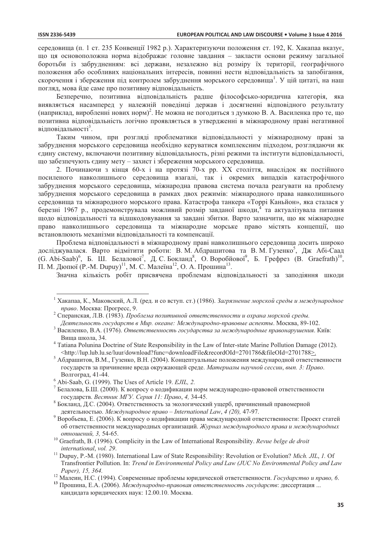середовища (п. 1 ст. 235 Конвенції 1982 р.). Характеризуючи положення ст. 192, К. Хакапаа вказує, що ця основоположна норма відображає головне завдання - закласти основи режиму загальної боротьби із забрудненням: всі держави, незалежно від розміру їх території, географічного положення або особливих національних інтересів, повинні нести відповідальність за запобігання, скорочення і збереження під контролем забруднення морського середовища<sup>1</sup>. У цій цитаті, на наш погляд, мова йде саме про позитивну відповідальність.

Безперечно, позитивна відповідальність радше філософсько-юридична категорія, яка виявляється насамперед у належній поведінці держав і досягненні відповідного результату (наприклад, виробленні нових норм)<sup>2</sup>. Не можна не погодиться з думкою В. А. Василенка про те, що позитивна відповідальність логічно проявляється в утвердженні в міжнародному праві негативної відповідальності<sup>3</sup>.

Таким чином, при розгляді проблематики відповідальності у міжнародному праві за забруднення морського середовища необхідно керуватися комплексним підходом, розглядаючи як єдину систему, включаючи позитивну відповідальность, різні режими та інститути відповідальності, що забезпечують єдину мету - захист і збереження морського середовища.

2. Починаючи з кінця 60-х і на протязі 70-х рр. XX століття, внаслідок як постійного посиленого навколишнього середовища взагалі, так і окремих випадків катастрофічного забруднення морського середовища, міжнародна правова система почала реагувати на проблему забруднення морського середовища в рамках двох режимів: міжнародного права навколишнього середовища та міжнародного морського права. Катастрофа танкера «Торрі Каньйон», яка сталася у березні 1967 р., продемонструвала можливий розмір завданої шкоди,<sup>4</sup> та актуалізувала питання щодо відповідальності та відшкодовування за завдані збитки. Варто зазначити, що як міжнародне право навколишнього середовища та міжнародне морське право містять концепції, що встановлюють механізми відповідальності та компенсації.

Проблема відповідальності в міжнародному праві навколишнього середовища досить широко досліджувалася. Варто відмітити роботи: В. М. Абдрашитова та В. М. Гузенко<sup>5</sup>, Дж Абі-Саад (G. Abi-Saab)<sup>6</sup>, Б. Ш. Белалової<sup>7</sup>, Д. С. Бокланд<sup>8</sup>, О. Воробйової<sup>9</sup>, Б. Грефрез (В. Graefrath)<sup>10</sup>, П. М. Дюпюї (Р.-М. Dupuy)<sup>11</sup>, М. С. Малеїна<sup>12</sup>, О. А. Прошина<sup>13</sup>.

Значна кількість робіт присвячена проблемам відповідальності за заподіяння шкоди

Хакапаа, К., Маковский, А.Л. (ред. и со вступ. ст.) (1986). Загрязнение морской среды и международное право. Москва: Прогресс, 9.

<sup>&</sup>lt;sup>2</sup> Сперанская, Л.В. (1983). Проблема позитивной ответственности и охрана морской среды. Деятельность государств в Мир. океане: Международно-правовые аспекты. Москва, 89-102.

Василенко, В.А. (1976). Ответственность государства за международные правонарушения. Київ: Вища школа, 34.

<sup>&</sup>lt;sup>4</sup> Tatiana Polunina Doctrine of State Responsibility in the Law of Inter-state Marine Pollution Damage (2012). <http://lup.lub.lu.se/luur/download?func=downloadFile&recordOId=2701786&fileOId=2701788>.

<sup>5</sup> Абдрашитов, В.М., Гузенко, В.Н. (2004). Концептуальные положения международной ответственности государств за причинение вреда окружающей среде. Материалы научной сессии, вып. 3: Право. Волгоград, 41-44.

 $6$  Abi-Saab, G. (1999). The Uses of Article 19. EJIL, 2.

 $7$  Белалова, Б.Ш. (2000). К вопросу о кодификации норм международно-правовой ответственности государств. Вестник МГУ. Серия 11: Право, 4, 34-45.

Бокланд, Д.С. (2004). Ответственность за экологический ущерб, причиненный правомерной пеятельностью. Международное право – International Law, 4 (20), 47-97.

Воробьева, Е. (2006). К вопросу о кодификации права международной ответственности: Проект статей об ответственности международных организаций. Журнал международного права и международных отношений. 3. 54-65.

 $10$  Graefrath, B. (1996). Complicity in the Law of International Responsibility. Revue belge de droit international, vol. 29.

<sup>&</sup>lt;sup>11</sup> Dupuv, P.-M. (1980). International Law of State Responsibility: Revolution or Evolution? Mich. JIL, 1. Of Transfrontier Pollution. In: Trend in Environmental Policy and Law (JUC No Environmental Policy and Law Paper), 15, 364.

<sup>&</sup>lt;sup>12</sup> Малеин, Н.С. (1994). Современные проблемы юридической ответственности. Государство и право, 6.

<sup>13</sup> Прошина, Е.А. (2006). Международно-правовая ответственность государств: диссертация ... кандидата юридических наук: 12.00.10. Москва.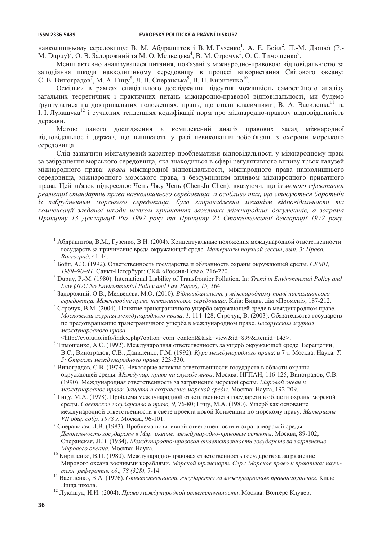навколишньому середовищу: В. М. Абдрашитов і В. М. Гузенко<sup>1</sup>, А. Е. Бойл<sup>2</sup>, П.-М. Дюпюї (Р.-М. Dupuy)<sup>3</sup>, О. В. Задорожний та М. О. Медведева<sup>4</sup>, В. М. Строчук<sup>5</sup>, О. С. Тимошенко<sup>6</sup>.

Менш активно аналізувалися питання, пов'язані з міжнародно-правовою відповідальністю за заподіяння шкоди навколишньому середовищу в процесі використання Світового океану: С. В. Виноградов<sup>7</sup>, М. А. Гицу<sup>8</sup>, Л. В. Сперанська<sup>9</sup>, В. П. Кириленко<sup>10</sup>.

Оскільки в рамках спеціального дослідження відсутня можливість самостійного аналізу загальних теоретичних і практичних питань міжнародно-правової відповідальності, ми будемо трунтуватися на доктринальних положеннях, праць, що стали класичними, В. А. Василенка<sup>11</sup> та I. I. Лукашука<sup>12</sup> і сучасних тенленціях колифікації норм про міжнародно-правову відповілальність держави.

Метою даного дослідження є комплексний аналіз правових засад міжнародної відповідальності держав, що виникають у разі невиконання зобов'язань з охорони морського середовища.

Слід зазначити міжгалузевий характер проблематики відповідальності у міжнародному праві за забруднення морського середовища, яка знаходиться в сфері регулятивного впливу трьох галузей міжнародного права: права міжнародної відповідальності, міжнародного права навколишнього середовища, міжнародного морського права, з безсумнівним впливом міжнародного приватного права. Цей зв'язок підкреслює Чень Чжу Чень (Chen-Ju Chen), вказуючи, що із метою ефективної реалізації стандартів права навколишнього середовиша, а особливо тих, що стосуються боротьби із забрудненням морського середовища, було запроваджено механізм відповідальності та компенсації завданої шкоди шляхом прийняття важливих міжнародних документів, а зокрема Принципу 13 Декларації Ріо 1992 року та Принципу 22 Стокгольмської декларації 1972 року.

<sup>&</sup>lt;sup>1</sup> Абдрашитов, В.М., Гузенко, В.Н. (2004). Концептуальные положения международной ответственности государств за причинение вреда окружающей среде. Материалы научной сессии, вып. 3: Право. Волгоград, 41-44.

<sup>&</sup>lt;sup>2</sup> Бойл, А.Э. (1992). Ответственность государства и обязанность охраны окружающей среды. СЕМП, 1989-90-91. Санкт-Петербург: СКФ «Россия-Нева», 216-220.

Dupuy, P.-M. (1980). International Liability of Transfrontier Pollution. In: Trend in Environmental Policy and Law (JUC No Environmental Policy and Law Paper), 15, 364.

 $\overline{a}$ Задорожній, О.В., Медведева, М.О. (2010). Відповідальність у міжнародному праві навколишнього середовиша. Міжнародне право навколишнього середовиша. Київ: Видав, дім «Промені», 187-212.

<sup>5</sup> Строчук, В.М. (2004). Понятие трансграничного ущерба окружающей среде в международном праве. Московский журнал международного права, 1, 114-128; Строчук, В. (2003). Обязательства государств по предотвращению трансграничного ущерба в международном праве. Белорусский журнал международного права.

<sup>&</sup>lt;http://evolutio.info/index.php?option=com content&task=view&id=899&Itemid=143>.

<sup>&</sup>lt;sup>6</sup> Тимошенко, А.С. (1992). Международная ответственность за ущерб окружающей среде. Верещетин, В.С., Виноградов, С.В., Даниленко, Г.М. (1992). Курс международного права: в 7 т. Москва: Наука. Т. 5: Отрасли международного права, 323-330.

 $\overline{7}$ Виноградов, С.В. (1979). Некоторые аспекты ответственности государств в области охраны окружающей среды. Междунар. право на службе мира. Москва: ИГПАН, 116-125; Виноградов, С.В. (1990). Международная ответственность за загрязнение морской среды. Мировой океан и международное право: Защита и сохранение морской среды. Москва: Наука, 192-209.

Гицу, М.А. (1978). Проблема международной ответственности государств в области охраны морской среды. Советское государство и право, 9, 76-80; Гицу, М.А. (1980). Ущерб как основание международной ответственности в свете проекта новой Конвенции по морскому праву. Материалы VII общ. собр. 1978 г. Москва, 96-101.

<sup>&</sup>lt;sup>9</sup> Сперанская, Л.В. (1983). Проблема позитивной ответственности и охрана морской среды. Деятельность государств в Мир, океане: международно-правовые аспекты. Москва, 89-102; Сперанская, Л.В. (1984). Международно-правовая ответственность государств за загрязнение Мирового океана. Москва: Наука.

<sup>10</sup> Кириленко, В.П. (1980). Международно-правовая ответственность государств за загрязнение Мирового океана военными кораблями. Морской транспорт. Сер.: Морское право и практика: науч.техн. рефератив. сб., 78 (328), 7-14.

теля. реферанция. со., 75 (525), 7-1..<br><sup>11</sup> Василенко, В.А. (1976). *Ответственность государства за международные правонарушения*. Киев: Вища школа.

<sup>12</sup> Лукашук, И.И. (2004). Право международной ответственности. Москва: Волтерс Клувер.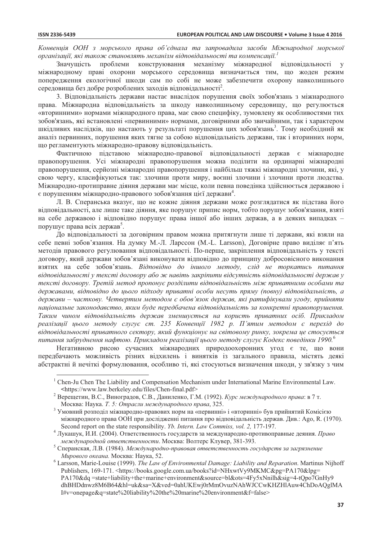Конвениія ООН з морського права об'єднала та запровадила засоби Міжнародної морської організації, які також становлять механізм відповідальності та компенсації.  $I$ 

Значущість проблеми конструювання механізму міжнародної відповідальності міжнародному праві охорони морського середовища визначається тим, що жоден режим попередження екологічної шкоди сам по собі не може забезпечити охорону навколишнього середовища без добре розроблених заходів відповідальності<sup>2</sup>.

3. Вілповілальність держави настає внаслідок порушення своїх зобов'язань з міжнародного права. Міжнародна відповідальність за шкоду навколишньому середовищу, що регулюється «вторинними» нормами міжнародного права, має свою специфіку, зумовлену як особливостями тих зобов'язань, які встановлені «первинними» нормами, договірними або звичайними, так і характером шкідливих наслідків, що настають у результаті порушення цих зобов'язань<sup>3</sup>. Тому необхідний як аналіз первинних, порушення яких тягне за собою відповідальність держави, так і вторинних норм, що регламентують міжнародно-правову відповідальність.

Фактичною підставою міжнародно-правової відповідальності держав є міжнародне правопорушення. Усі міжнародні правопорушення можна поділити на ординарні міжнародні правопорушення, серйозні міжнародні правопорушення і найбільш тяжкі міжнародні злочини, які, у свою чергу, класифікуються так: злочини проти миру, воєнні злочини і злочини проти людства. Міжнародно-протиправне діяння держави має місце, коли певна поведінка здійснюється державою і  $\epsilon$  порушенням міжнародно-правового зобов'язання цієї держави<sup>4</sup>.

Л. В. Сперанська вказує, що не кожне діяння держави може розглядатися як підстава його відповідальності, але лише таке діяння, яке порушує припис норм, тобто порушує зобов'язання, взяті на себе державою і відповідно порушує права іншої або інших держав, а в деяких випадках порушує права всіх держав<sup>5</sup>.

До відповідальності за договірним правом можна притягнути лише ті держави, які взяли на себе певні зобов'язання. На думку М.-Л. Ларссон (М.-L. Larsson), Договірне право виділяє п'ять методів правового регулювання відповідальності. По-перше, закріплення відповідальність у тексті договору, який держави зобов'язані виконувати відповідно до принципу добросовісного виконання взятих на себе зобов'язань. Відповідно до іншого методу, слід не торкатись питання відповідальності у тексті договору або ж навіть закріпити відсутність відповідальності держав у тексті договору. Третій метод пропонує розділити відповідальність між приватними особами та державами, відповідно до цього підходу приватні особи несуть пряму (повну) відповідальність, а держави – часткову. Четвертим методом є обов'язок держав, які ратифікували угоду, прийняти національне законодавство, яким буде передбачена відповідальність за конкретні правопорушення. Таким чином відповідальність держав зменшується на користь приватних осіб. Прикладом реалізації цього методу слугує ст. 235 Конвенції 1982 р. П'ятим методом є перехід до відповідальності приватного сектору, який функціонує на світовому ринку, зокрема це стосується питання забруднення нафтою. Прикладом реалізації цього методу слугує Кодекс поведінки 1990. $^6$ 

Негативною рисою сучасних міжнародних природоохоронних угод є те, що вони перелбачають можливість різних вілхилень і винятків із загального правила, містять леякі абстрактні й нечіткі формулювання, особливо ті, які стосуються визначення шкоди, у зв'язку з чим

<sup>&</sup>lt;sup>1</sup> Chen-Ju Chen The Liability and Compensation Mechanism under International Marine Environmental Law. <https://www.law.berkeley.edu/files/Chen-final.pdf>

<sup>&</sup>lt;sup>2</sup> Верещетин, В.С., Виноградов, С.В., Даниленко, Г.М. (1992). Курс международного права: в 7 т. Москва: Наука. Т. 5: Отрасли международного права, 325.

Умовний розподіл міжнародно-правових норм на «первинні» і «вторинні» був прийнятий Комісією міжнародного права ООН при дослідженні питання про відповідальність держав. Див.: Аgo, R. (1970). Second report on the state responsibility. *Yb. Intern. Law Commiss, vol. 2, 177-197.* 

<sup>4</sup> Лукашук, И.И. (2004). Ответственность государств за международно-противоправные деяния. Право международной ответственности. Москва: Волтерс Клувер, 381-393.

Сперанская, Л.В. (1984). Международно-правовая ответственность государств за загрязнение Мирового океана. Москва: Наука, 52.

 $6$  Larsson, Marie-Louise (1999). The Law of Environmental Damage: Liability and Reparation. Martinus Nijhoff Publishers, 169-171. <https://books.google.com.ua/books?id=NHxwtVy9MKMC&pg=PA170&lpg= PA170&dq =state+liability+the+marine+environment&source=bl&ots=4Fy5xNnilh&sig=4-tQpo7GnHy9 dhBHDdnwz8M6B64&hl=uk&sa=X&ved=0ahUKEwj0rMmOvuzNAhWJCCwKHZHlAuw4ChDoAQglMA I#v=onepage&q=state%20liability%20the%20marine%20environment&f=false>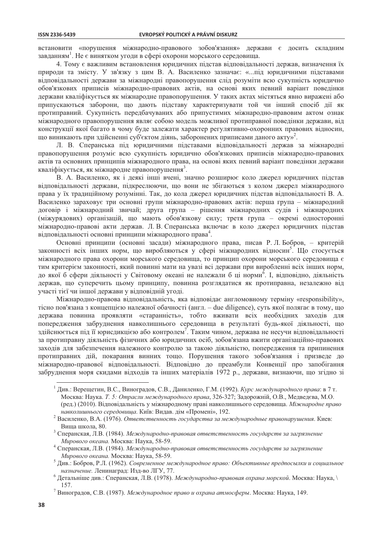встановити «порушення міжнародно-правового зобов'язання» держави є досить складним завданням<sup>1</sup>. Не є винятком угоди в сфері охорони морського середовища.

4. Тому є важливим встановлення юридичних підстав відповідальності держав, визначення їх природи та змісту. У зв'язку з цим В. А. Василенко зазначає: «...під юридичними підставами відповідальності держави за міжнародні правопорушення слід розуміти всю сукупність юридично обов'язкових приписів міжнародно-правових актів, на основі яких певний варіант повелінки держави кваліфікується як міжнародне правопорушення. У таких актах містяться явно виражені або припускаються заборони, що дають підставу характеризувати той чи інший спосіб дії як протиправний. Сукупність передбачуваних або припустимих міжнародно-правовим актом ознак міжнародного правопорушення являє собою модель можливої протиправної поведінки держави, від конструкції якої багато в чому буде залежати характер регулятивно-охоронних правових відносин, що виникають при здійсненні суб'єктом діянь, заборонених приписами даного акту»<sup>2</sup>.

Л. В. Сперанська під юридичними підставами відповідальності держав за міжнародні правопорушення розуміє всю сукупність юридично обов'язкових приписів міжнародно-правових актів та основних принципів міжнародного права, на основі яких певний варіант поведінки держави кваліфікується, як міжнародне правопорушення<sup>3</sup>.

В. А. Василенко, як і деякі інші вчені, значно розширює коло джерел юридичних підстав відповідальності держави, підкреслюючи, що вони не збігаються з колом джерел міжнародного права у їх традиційному розумінні. Так, до кола джерел юридичних підстав відповідальності В. А. Василенко зараховує три основні групи міжнародно-правових актів: перша група - міжнародний договір і міжнародний звичай; друга група – рішення міжнародних судів і міжнародних (міжурядових) організацій, що мають обов'язкову силу; третя група - окремі односторонні міжнародно-правові акти держав. Л. В. Сперанська включає в коло джерел юридичних підстав відповідальності основні принципи міжнародного права<sup>4</sup>.

Основні принципи (основні засади) міжнародного права, писав Р. Л. Бобров, - критерій законності всіх інших норм, що виробляються у сфері міжнародних відносин<sup>5</sup>. Що стосується міжнародного права охорони морського середовища, то принцип охорони морського середовища  $\epsilon$ тим критерієм законності, який повинні мати на увазі всі держави при виробленні всіх інших норм, до якої б сфери діяльності у Світовому океані не належали б ці норми<sup>6</sup>. І, відповідно, діяльність держав, що суперечить цьому принципу, повинна розглядатися як протиправна, незалежно від участі тієї чи іншої держави у відповідній угоді.

Міжнародно-правова відповідальність, яка відповідає англомовному терміну «responsibility», тісно пов'язана з концепцією належної обачності (англ. - due diligence), суть якої полягає в тому, що держава повинна проявляти «старанність», тобто вживати всіх необхідних заходів для попередження забруднення навколишнього середовища в результаті будь-якої діяльності, що здійснюється під її юрисдикцією або контролем<sup>7</sup>. Таким чином, держава не несучи відповідальності за протиправну діяльність фізичних або юридичних осіб, зобов'язана вжити організаційно-правових заходів для забезпечення належного контролю за такою діяльністю, попередження та припинення протиправних дій, покарання винних тощо. Порушення такого зобов'язання і призведе до міжнародно-правової відповідальності. Відповідно до преамбули Конвенції про запобігання забруднення моря скидами відходів та інших матеріалів 1972 р., держави, визнаючи, що згідно зі

<sup>&</sup>lt;sup>1</sup> Див.: Верещетин, В.С., Виноградов, С.В., Даниленко, Г.М. (1992). *Курс международного права*: в 7 т. Москва: Наука. Т. 5: Отрасли международного права, 326-327; Задорожній, О.В., Медведєва, М.О. (ред.) (2010). Відповідальність у міжнародному праві навколишнього середовища. Міжнародне право навколишнього середовища. Київ: Видав. дім «Промені», 192.

<sup>&</sup>lt;sup>2</sup> Василенко, В.А. (1976). Ответственность государства за международные правонарушения. Киев: Виша школа, 80.

<sup>&</sup>lt;sup>3</sup> Сперанская, Л.В. (1984). Международно-правовая ответственность государств за загрязнение Мирового океана. Москва: Наука, 58-59.

<sup>&</sup>lt;sup>4</sup> Сперанская, Л.В. (1984). Международно-правовая ответственность государств за загрязнение Мирового океана. Москва: Наука, 58-59.

<sup>&</sup>lt;sup>5</sup> Див.: Бобров, Р.Л. (1962). Современное международное право: Объективные предпосылки и социальное назначение. Ленинаград: Изд-во ЛГУ, 77.

 $\ddot{6}$ Детальніше див.: Сперанская, Л.В. (1978). Международно-правовая охрана морской. Москва: Наука, 157.

<sup>&</sup>lt;sup>7</sup> Виноградов, С.В. (1987). Международное право и охрана атмосферы. Москва: Наука, 149.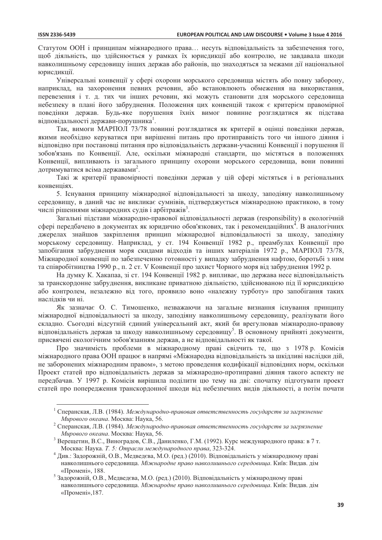Статутом ООН і принципам міжнародного права... несуть відповідальність за забезпечення того, щоб діяльність, що здійснюється у рамках їх юрисдикції або контролю, не завдавала шкоди навколишньому середовищу інших держав або районів, що знаходяться за межами дії національної юрисдикції.

Універсальні конвенції у сфері охорони морського середовища містять або повну заборону, наприклад, на захоронення певних речовин, або встановлюють обмеження на використання, перевезення і т. д. тих чи інших речовин, які можуть становити для морського середовища небезпеку в плані його забруднення. Положення цих конвенцій також є критерієм правомірної повелінки лержав. Буль-яке порушення їхніх вимог повинне розглялатися як пілстава відповідальності держави-порушника<sup>1</sup>.

Так, вимоги МАРПОЛ 73/78 повинні розглядатися як критерії в оцінці поведінки держав, якими необхідно керуватися при вирішенні питань про протиправність того чи іншого діяння і відповідно при постановці питання про відповідальність держави-учасниці Конвенції і порушення її зобов'язань по Конвенції. Але, оскільки міжнародні стандарти, що містяться в положеннях Конвенції, випливають із загального принципу охорони морського середовища, вони повинні лотримуватися всіма державами<sup>2</sup>.

Такі ж критерії правомірності поведінки держав у цій сфері містяться і в регіональних конвенціях.

5. Існування принципу міжнародної відповідальності за шкоду, заподіяну навколишньому середовищу, в даний час не викликає сумнівів, підтверджується міжнародною практикою, в тому числі рішеннями міжнародних судів і арбітражів<sup>3</sup>.

Загальні підстави міжнародно-правової відповідальності держав (responsibility) в екологічній сфері передбачено в документах як юридично обов'язкових, так і рекомендаційних<sup>4</sup>. В аналогічних джерелах знайшов закріплення принцип міжнародної відповідальності за шкоду, заподіяну морському середовищу. Наприклад, у ст. 194 Конвенції 1982 р., преамбулах Конвенції про запобігання забруднення моря скидами відходів та інших матеріалів 1972 р., МАРПОЛ 73/78, Міжнародної конвенції по забезпеченню готовності у випадку забруднення нафтою, боротьбі з ним та співробітництва 1990 р., п. 2 ст. V Конвенції про захист Чорного моря від забруднення 1992 р.

На думку К. Хакапаа, зі ст. 194 Конвенції 1982 р. випливає, що держава несе відповідальність за транскордонне забруднення, викликане приватною діяльністю, здійснюваною під її юрисдикцією або контролем, незалежно від того, проявило воно «належну турботу» про запобігання таких наслілків чи ні.

Як зазначає О. С. Тимошенко, незважаючи на загальне визнання існування принципу міжнародної відповідальності за шкоду, заподіяну навколишньому середовищу, реалізувати його складно. Сьогодні відсутній єдиний універсальний акт, який би врегулював міжнародно-правову відповідальність держав за шкоду навколишньому середовищу<sup>5</sup>. В основному прийняті документи, присвячені екологічним зобов'язанням держав, а не відповідальності як такої.

Про значимість проблеми в міжнародному праві свідчить те, що з 1978 р. Комісія міжнародного права ООН працює в напрямі «Міжнародна відповідальність за шкілливі наслідки дій. не заборонених міжнародним правом», з метою проведення кодифікації відповідних норм, оскільки Проект статей про відповідальність держав за міжнародно-протиправні діяння такого аспекту не передбачав. У 1997 р. Комісія вирішила поділити цю тему на дві: спочатку підготувати проект статей про попередження транскордонної шкоди від небезпечних видів діяльності, а потім почати

<sup>&</sup>lt;sup>1</sup> Сперанская, Л.В. (1984). *Международно-правовая ответственность государств за загрязнение* Мирового океана. Москва: Наука, 56.

 $2$  Сперанская, Л.В. (1984). Международно-правовая ответственность государств за загрязнение Мирового океана. Москва: Наука, 56.

Верещетин, В.С., Виноградов, С.В., Даниленко, Г.М. (1992). Курс международного права: в 7 т. Москва: Наука. Т. 5: Отрасли международного права, 323-324.

<sup>4</sup> Див.: Задорожній, О.В., Медведсва, М.О. (ред.) (2010). Відповідальність у міжнародному праві навколишнього середовища. Міжнародне право навколишнього середовища. Київ: Видав. дім «Промені», 188.

<sup>5</sup> Задорожній, О.В., Медведєва, М.О. (ред.) (2010). Відповідальність у міжнародному праві навколишнього середовища. Міжнародне право навколишнього середовища. Київ: Видав. дім «Промені», 187.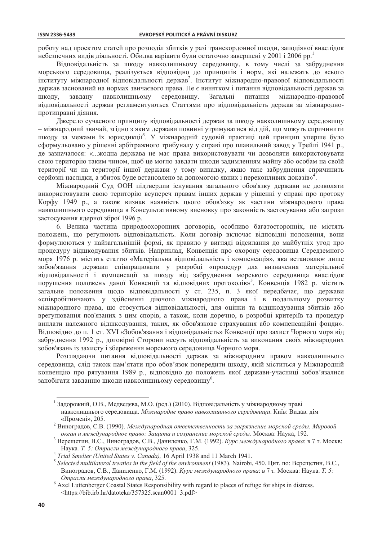роботу нал проектом статей про розполіл збитків у разі транскорлонної школи, заполіяної внаслілок небезпечних видів діяльності. Обидва варіанти були остаточно завершені у 2001 і 2006 рр.

Відповідальність за шкоду навколишньому середовищу, в тому числі за забруднення морського середовища, реалізується відповідно до принципів і норм, які належать до всього інституту міжнародної відповідальності держав<sup>2</sup>. Інститут міжнародно-правової відповідальності лержав заснований на нормах звичаєвого права. Не є винятком і питання вілповілальності лержав за шкоду, навколишньому середовищу. Загальні питання завлану міжнародно-правової відповідальності держав регламентуються Статтями про відповідальність держав за міжнароднопротиправні ліяння.

Джерело сучасного принципу відповідальності держав за шкоду навколишньому середовищу – міжнародний звичай, згідно з яким держави повинні утримуватися від дій, що можуть спричинити шкоду за межами їх юрисдикції<sup>3</sup>. У міжнародній судовій практиці цей принцип уперше було сформульовано у рішенні арбітражного трибуналу у справі про плавильний завод у Трейлі 1941 р., де зазначалося: «...жодна держава не має права використовувати чи дозволяти використовувати свою територію таким чином, щоб це могло завдати шкоди задимленням майну або особам на своїй території чи на території іншої держави у тому випадку, якщо таке забруднення спричинить серйозні наслідки, а збиток буде встановлено за допомогою явних і переконливих доказів»<sup>4</sup>.

Міжнародний Суд ООН підтвердив існування загального обов'язку держави не дозволяти використовувати свою територію всупереч правам інших держав у рішенні у справі про протоку Корфу 1949 р., а також визнав наявність цього обов'язку як частини міжнародного права навколишнього середовища в Консультативному висновку про законність застосування або загрози застосування ядерної зброї 1996 р.

6. Велика частина природоохоронних договорів, особливо багатосторонніх, не містять положень, що регулюють відповідальність. Коли договір включає відповідні положення, вони формулюються у найзагальнішій формі, як правило у вигляді відсилання до майбутніх угод про процедуру відшкодування збитків. Наприклад, Конвенція про охорону середовища Середземного моря 1976 р. містить статтю «Матеріальна відповідальність і компенсація», яка встановлює лише зобов'язання держави співпрацювати у розробці «процедур для визначення матеріальної відповідальності і компенсації за шкоду від забруднення морського середовища внаслідок порушення положень даної Конвенції та відповідних протоколів»<sup>5</sup>. Конвенція 1982 р. містить загальне положення щодо відповідальності у ст. 235, п. 3 якої передбачає, що держави «співробітничають у здійсненні діючого міжнародного права і в подальшому розвитку міжнародного права, що стосується відповідальності, для оцінки та відшкодування збитків або врегулювання пов'язаних з цим спорів, а також, коли доречно, в розробці критеріїв та процедур виплати належного відшкодування, таких, як обов'язкове страхування або компенсаційні фонди». Відповідно до п. 1 ст. XVI «Зобов'язання і відповідальність» Конвенції про захист Чорного моря від забруднення 1992 р., договірні Сторони несуть відповідальність за виконання своїх міжнародних зобов'язань із захисту і збереження морського середовища Чорного моря.

Розглядаючи питання відповідальності держав за міжнародним правом навколишнього середовища, слід також пам'ятати про обов'язок попередити шкоду, якій міститься у Міжнародній конвенцію про рятування 1989 р., відповідно до положень якої держави-учасниці зобов'язалися запобігати завданню шкоди навколишньому середовищу<sup>6</sup>.

<sup>&</sup>lt;sup>1</sup> Задорожній, О.В., Медведєва, М.О. (ред.) (2010). Відповідальність у міжнародному праві навколишнього сереловища. Міжнародне право навколишнього середовища. Київ: Вилав, лім «Промені», 205.

 $\sqrt{2}$ Виноградов, С.В. (1990). Международная ответственность за загрязнение морской среды. Мировой океан и международное право: Зашита и сохранение морской среды. Москва: Наука, 192.

Верещетин, В.С., Виноградов, С.В., Даниленко, Г.М. (1992). Курс международного права: в 7 т. Москв: Наука. Т. 5: Отрасли международного права, 325.

 $\overline{4}$ Trial Smelter (United States v. Canada), 16 April 1938 and 11 March 1941.

<sup>&</sup>lt;sup>5</sup> Selected multilateral treaties in the field of the environment (1983). Nairobi, 450. Цит. по: Верещетин, В.С., Виноградов, С.В., Даниленко, Г.М. (1992). Курс международного права: в 7 т. Москва: Наука. Т. 5: Отрасли международного права, 325.

 $6$  Axel Luttenberger Coastal States Responsibility with regard to places of refuge for ships in distress. <https://bib.irb.hr/datoteka/357325.scan0001 3.pdf>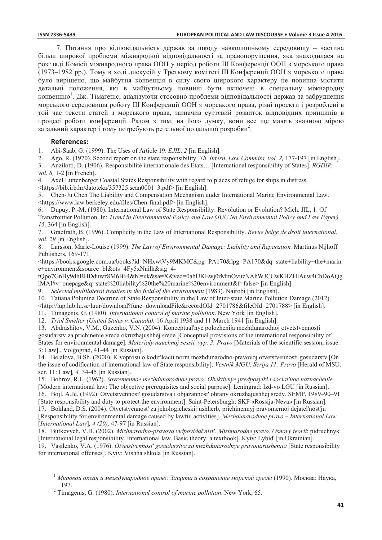7. Питання про відповідальність держав за шкоду навколишньому середовищу - частина більш широкої проблеми міжнародної відповідальності за правопорушення, яка знаходилася на розгляді Комісії міжнародного права ООН у період роботи III Конференції ООН з морського права (1973–1982 рр.). Тому в ході дискусій у Третьому комітеті III Конференції ООН з морського права було вирішено, що майбутня конвенція в силу свого широкого характеру не повинна містити детальні положення, які в майбутньому повинні бути включені в спеціальну міжнародну конвенцію<sup>1</sup>. Дж. Тімагеніс, аналізуючи стосовно проблеми відповідальності держав за забруднення морського середовища роботу III Конференції ООН з морського права, різні проекти і розроблені в той час тексти статей з морського права, зазначив суттєвий розвиток відповідних принципів в процесі роботи конференції. Разом з тим, на його думку, вони все ще мають значною мірою загальний характер і тому потребують ретельної подальшої розробки<sup>2</sup>.

## **References:**

Abi-Saab, G. (1999). The Uses of Article 19. EJIL, 2 [in English]. 1.

Ago, R. (1970). Second report on the state responsibility. *Yb. Intern. Law Commiss, vol. 2, 177-197* [in English]. 2.

 $\mathcal{E}$ Anzilotti, D. (1906). Responsibilité internationale des Etats... [International responsibility of States]. RGDIP.  $vol. 8. 1-2$  [in French].

 $4<sup>1</sup>$ Axel Luttenberger Coastal States Responsibility with regard to places of refuge for ships in distress.

<https://bib.irb.hr/datoteka/357325.scan0001 3.pdf> [in English].

Chen-Ju Chen The Liability and Compensation Mechanism under International Marine Environmental Law.  $5^{\circ}$ <https://www.law.berkeley.edu/files/Chen-final.pdf> [in English].

Dupuy, P.-M. (1980). International Law of State Responsibility: Revolution or Evolution? Mich. JIL, 1. Of 6. Transfrontier Pollution. In: Trend in Environmental Policy and Law (JUC No Environmental Policy and Law Paper), 15.364 [in English].

 $7.$ Graefrath, B. (1996). Complicity in the Law of International Responsibility. Revue belge de droit international,  $vol. 29$  [in English].

8. Larsson, Marie-Louise (1999). The Law of Environmental Damage: Liability and Reparation. Martinus Nijhoff Publishers, 169-171

<https://books.google.com.ua/books?id=NHxwtVy9MKMC&pg=PA170&lpg=PA170&dq=state+liability+the+marin</a> e+environment&source=bl&ots=4Fy5xNnilh&sig=4-

tQpo7GnHy9dhBHDdnwz8M6B64&hl=uk&sa=X&ved=0ahUKEwj0rMmOvuzNAhWJCCwKHZHlAuw4ChDoAQg lMAI#v=onepage&q=state%20liability%20the%20marine%20environment&f=false>[in English].

Selected multilateral treaties in the field of the environment (1983). Nairobi [in English]. 9.

10. Tatiana Polunina Doctrine of State Responsibility in the Law of Inter-state Marine Pollution Damage (2012).

<http://lup.lub.lu.se/luur/download?func=downloadFile&recordOId=2701786&fileOId=2701788> [in English].

11. Timagenis, G. (1980). *International control of marine pollution*. New York [in English].

12. Trial Smelter (United States v. Canada), 16 April 1938 and 11 March 1941 [in English].

13. Abdrashitov, V.M., Guzenko, V.N. (2004). Konceptual'nye polozhenija mezhdunarodnoj otvetstvennosti

gosudarstv za prichinenie vreda okruzhajushhej srede [Conceptual provisions of the international responsibility of States for environmental damage]. Materialy nauchnoj sessii, vyp. 3: Pravo [Materials of the scientific session, issue. 3: Law].. Volgograd, 41-44 [in Russian].

14. Belalova, B.Sh. (2000). K voprosu o kodifikacii norm mezhdunarodno-pravovoj otvetstvennosti gosudarstv [On the issue of codification of international law of State responsibility]. Vestnik MGU. Serija 11: Pravo [Herald of MSU. ser. 11: Law], 4, 34-45 [in Russian].

15. Bobrov, R.L. (1962). Sovremennoe mezhdunarodnoe pravo: Obektivnye predposylki i social'noe naznachenie [Modern international law: The objective prerequisites and social purpose]. Leningrad: Izd-vo LGU [in Russian]. 16. Bojl, A.Je. (1992). Otvetstvennosť gosudarstva i objazannosť ohrany okruzhajushhej sredy. SEMP, 1989–90–91

[State responsibility and duty to protect the environment]. Saint-Petersburgh: SKF «Rossija-Neva» [in Russian]. 17. Bokland, D.S. (2004). Otvetstvennosť za jekologicheskij ushherb, prichinennyj pravomernoj dejateľnosť ju

[Responsibility for environmental damage caused by lawful activities]. Mezhdunarodnoe pravo – International Law [International Law],  $4(20)$ , 47-97 [in Russian].

18. Butkevych, V.H. (2002). Mizhnarodno-pravova vidpovidal'nist'. Mizhnarodne pravo. Osnovy teorii: pidruchnyk [International legal responsibility. International law. Basic theory: a textbook]. Kyiv: Lybid' [in Ukrainian].

19. Vasilenko, V.A. (1976). Otvetstvennost' gosudarstva za mezhdunarodnye pravonarushenija [State responsibility for international offenses]. Kyiv: Vishha shkola [in Russian].

 $^{-1}$  Мировой океан и международное право: Защита и сохранение морской среды (1990). Москва: Наука,

 $2$  Timagenis, G. (1980). International control of marine pollution. New York, 65.